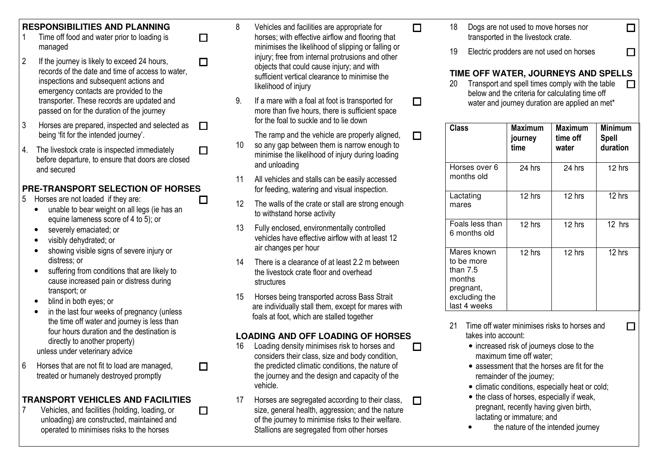### **RESPONSIBILITIES AND PLANNING**

- 1 Time off food and water prior to loading is managed
- 2If the journey is likely to exceed 24 hours, records of the date and time of access to water, inspections and subsequent actions and emergency contacts are provided to the transporter. These records are updated and passed on for the duration of the journey  $\Box$

 $\Box$ 

8

 $\Box$ 

 $\Box$ 

- 3 Horses are prepared, inspected and selected as being 'fit for the intended journey'.  $\Box$
- 4. The livestock crate is inspected immediately before departure, to ensure that doors are closed and secured  $\Box$

#### **PRE-TRANSPORT SELECTION OF HORSES**  $\Box$

- 5 Horses are not loaded if they are:
	- • unable to bear weight on all legs (ie has an equine lameness score of 4 to 5); or
	- •severely emaciated; or
	- •visibly dehydrated; or
	- • showing visible signs of severe injury or distress; or
	- suffering from conditions that are likely to •cause increased pain or distress during transport; or
	- blind in both eyes; or  $\bullet$
	- • in the last four weeks of pregnancy (unless the time off water and journey is less than four hours duration and the destination is directly to another property) unless under veterinary advice
- 6 Horses that are not fit to load are managed, treated or humanely destroyed promptly

# **TRANSPORT VEHICLES AND FACILITIES**

7 Vehicles, and facilities (holding, loading, or unloading) are constructed, maintained and operated to minimises risks to the horses

 Vehicles and facilities are appropriate for horses; with effective airflow and flooring that minimises the likelihood of slipping or falling or injury; free from internal protrusions and other objects that could cause injury; and with sufficient vertical clearance to minimise the likelihood of injury

 $\Box$ 

 $\Box$ 

 $\Box$ 

 $\Box$ 

 $\Box$ 

- 9. If a mare with a foal at foot is transported for more than five hours, there is sufficient space for the foal to suckle and to lie down
	- The ramp and the vehicle are properly aligned,
- 10 so any gap between them is narrow enough to minimise the likelihood of injury during loading and unloading
- 11 All vehicles and stalls can be easily accessed for feeding, watering and visual inspection.
- 12 The walls of the crate or stall are strong enough to withstand horse activity
- 13 Fully enclosed, environmentally controlled vehicles have effective airflow with at least 12 air changes per hour
- 14There is a clearance of at least 2.2 m between the livestock crate floor and overhead structures
- 15 Horses being transported across Bass Strait are individually stall them, except for mares with foals at foot, which are stalled together

# **LOADING AND OFF LOADING OF HORSES**

- 16 Loading density minimises risk to horses and considers their class, size and body condition, the predicted climatic conditions, the nature of the journey and the design and capacity of the vehicle.
- 17 Horses are segregated according to their class, size, general health, aggression; and the nature of the journey to minimise risks to their welfare. Stallions are segregated from other horses
- 18 Dogs are not used to move horses nor transported in the livestock crate.
- 19Electric prodders are not used on horses

# **TIME OFF WATER, JOURNEYS AND SPELLS**

 $\Box$ 

 $\Box$ 

 $\Box$ 20 Transport and spell times comply with the table below and the criteria for calculating time off water and journey duration are applied an met\*

| Class                                                                                           | Maximum<br>journey<br>time | <b>Maximum</b><br>time off<br>water | Minimum<br><b>Spell</b><br>duration |
|-------------------------------------------------------------------------------------------------|----------------------------|-------------------------------------|-------------------------------------|
| Horses over 6<br>months old                                                                     | 24 hrs                     | 24 hrs                              | 12 hrs                              |
| Lactating<br>mares                                                                              | 12 hrs                     | 12 hrs                              | 12 hrs                              |
| Foals less than<br>6 months old                                                                 | 12 hrs                     | 12 hrs                              | 12 hrs                              |
| Mares known<br>to be more<br>than $7.5$<br>months<br>pregnant,<br>excluding the<br>last 4 weeks | 12 hrs                     | 12 hrs                              | 12 hrs                              |

- 21 Time off water minimises risks to horses and takes into account:
	- increased risk of journeys close to the maximum time off water;
	- assessment that the horses are fit for the remainder of the journey;
	- climatic conditions, especially heat or cold;
	- the class of horses, especially if weak, pregnant, recently having given birth, lactating or immature; and
	- •the nature of the intended journey